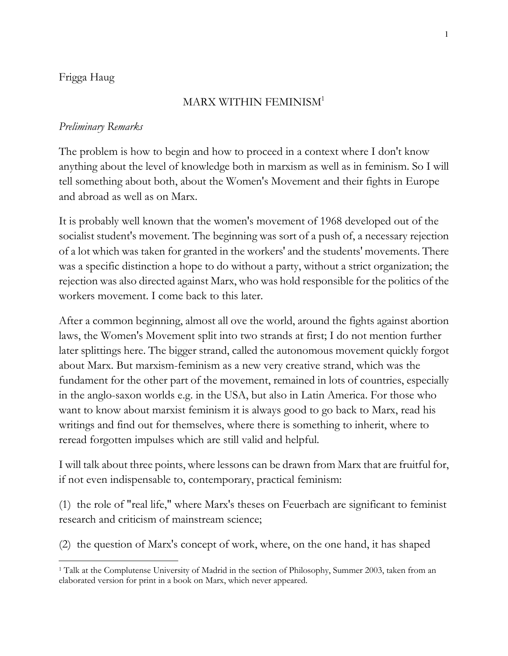# Frigga Haug

L

## MARX WITHIN FEMINISM<sup>1</sup>

## Preliminary Remarks

The problem is how to begin and how to proceed in a context where I don't know anything about the level of knowledge both in marxism as well as in feminism. So I will tell something about both, about the Women's Movement and their fights in Europe and abroad as well as on Marx.

It is probably well known that the women's movement of 1968 developed out of the socialist student's movement. The beginning was sort of a push of, a necessary rejection of a lot which was taken for granted in the workers' and the students' movements. There was a specific distinction a hope to do without a party, without a strict organization; the rejection was also directed against Marx, who was hold responsible for the politics of the workers movement. I come back to this later.

After a common beginning, almost all ove the world, around the fights against abortion laws, the Women's Movement split into two strands at first; I do not mention further later splittings here. The bigger strand, called the autonomous movement quickly forgot about Marx. But marxism-feminism as a new very creative strand, which was the fundament for the other part of the movement, remained in lots of countries, especially in the anglo-saxon worlds e.g. in the USA, but also in Latin America. For those who want to know about marxist feminism it is always good to go back to Marx, read his writings and find out for themselves, where there is something to inherit, where to reread forgotten impulses which are still valid and helpful.

I will talk about three points, where lessons can be drawn from Marx that are fruitful for, if not even indispensable to, contemporary, practical feminism:

(1) the role of "real life," where Marx's theses on Feuerbach are significant to feminist research and criticism of mainstream science;

(2) the question of Marx's concept of work, where, on the one hand, it has shaped

<sup>1</sup> Talk at the Complutense University of Madrid in the section of Philosophy, Summer 2003, taken from an elaborated version for print in a book on Marx, which never appeared.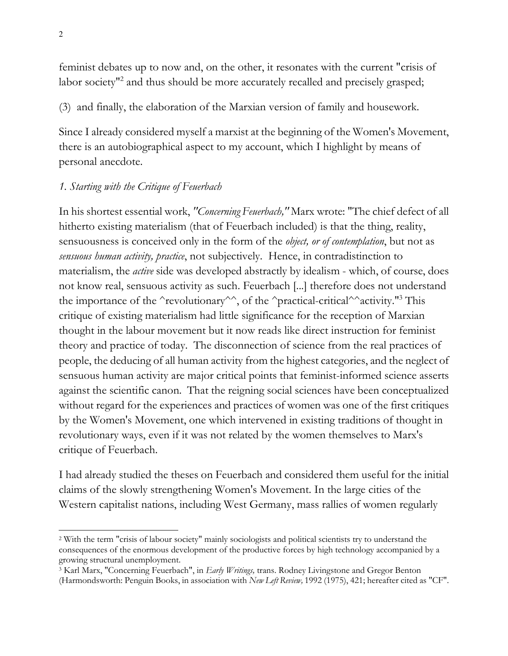feminist debates up to now and, on the other, it resonates with the current "crisis of labor society"<sup>2</sup> and thus should be more accurately recalled and precisely grasped;

## (3) and finally, the elaboration of the Marxian version of family and housework.

Since I already considered myself a marxist at the beginning of the Women's Movement, there is an autobiographical aspect to my account, which I highlight by means of personal anecdote.

## 1. Starting with the Critique of Feuerbach

In his shortest essential work, "Concerning Feuerbach," Marx wrote: "The chief defect of all hitherto existing materialism (that of Feuerbach included) is that the thing, reality, sensuousness is conceived only in the form of the *object, or of contemplation*, but not as sensuous human activity, practice, not subjectively. Hence, in contradistinction to materialism, the *active* side was developed abstractly by idealism - which, of course, does not know real, sensuous activity as such. Feuerbach [...] therefore does not understand the importance of the ^revolutionary^^, of the ^practical-critical^^activity."<sup>3</sup> This critique of existing materialism had little significance for the reception of Marxian thought in the labour movement but it now reads like direct instruction for feminist theory and practice of today. The disconnection of science from the real practices of people, the deducing of all human activity from the highest categories, and the neglect of sensuous human activity are major critical points that feminist-informed science asserts against the scientific canon. That the reigning social sciences have been conceptualized without regard for the experiences and practices of women was one of the first critiques by the Women's Movement, one which intervened in existing traditions of thought in revolutionary ways, even if it was not related by the women themselves to Marx's critique of Feuerbach.

I had already studied the theses on Feuerbach and considered them useful for the initial claims of the slowly strengthening Women's Movement. In the large cities of the Western capitalist nations, including West Germany, mass rallies of women regularly

 $\overline{a}$ 

<sup>2</sup> With the term "crisis of labour society" mainly sociologists and political scientists try to understand the consequences of the enormous development of the productive forces by high technology accompanied by a growing structural unemployment.

<sup>&</sup>lt;sup>3</sup> Karl Marx, "Concerning Feuerbach", in Early Writings, trans. Rodney Livingstone and Gregor Benton (Harmondsworth: Penguin Books, in association with New Left Review, 1992 (1975), 421; hereafter cited as "CF".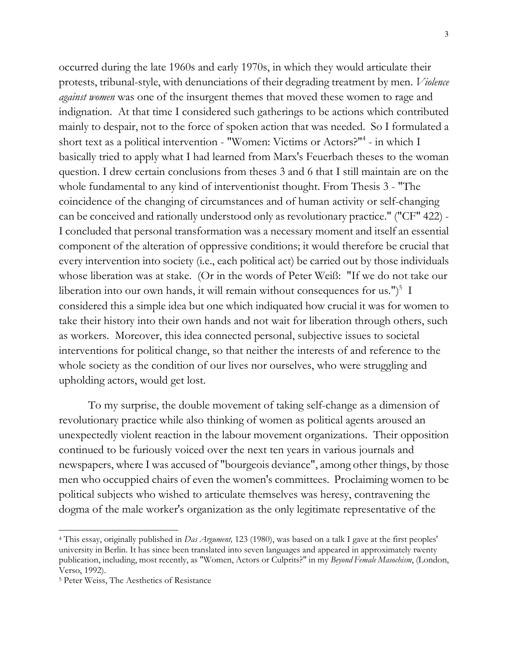occurred during the late 1960s and early 1970s, in which they would articulate their protests, tribunal-style, with denunciations of their degrading treatment by men. *Violence against women* was one of the insurgent themes that moved these women to rage and indignation. At that time I considered such gatherings to be actions which contributed mainly to despair, not to the force of spoken action that was needed. So I formulated a short text as a political intervention - "Women: Victims or Actors?"<sup>4</sup> - in which I basically tried to apply what I had learned from Marx's Feuerbach theses to the woman question. I drew certain conclusions from theses 3 and 6 that I still maintain are on the whole fundamental to any kind of interventionist thought. From Thesis 3 - "The coincidence of the changing of circumstances and of human activity or self-changing can be conceived and rationally understood only as revolutionary practice." ("CF" 422) - I concluded that personal transformation was a necessary moment and itself an essential component of the alteration of oppressive conditions; it would therefore be crucial that every intervention into society (i.e., each political act) be carried out by those individuals whose liberation was at stake. (Or in the words of Peter Weiß: "If we do not take our liberation into our own hands, it will remain without consequences for us.") $5$  I considered this a simple idea but one which indiquated how crucial it was for women to take their history into their own hands and not wait for liberation through others, such as workers. Moreover, this idea connected personal, subjective issues to societal interventions for political change, so that neither the interests of and reference to the whole society as the condition of our lives nor ourselves, who were struggling and upholding actors, would get lost.

 To my surprise, the double movement of taking self-change as a dimension of revolutionary practice while also thinking of women as political agents aroused an unexpectedly violent reaction in the labour movement organizations. Their opposition continued to be furiously voiced over the next ten years in various journals and newspapers, where I was accused of "bourgeois deviance", among other things, by those men who occuppied chairs of even the women's committees. Proclaiming women to be political subjects who wished to articulate themselves was heresy, contravening the dogma of the male worker's organization as the only legitimate representative of the

 $\overline{a}$ 

<sup>&</sup>lt;sup>4</sup> This essay, originally published in *Das Argument*, 123 (1980), was based on a talk I gave at the first peoples' university in Berlin. It has since been translated into seven languages and appeared in approximately twenty publication, including, most recently, as "Women, Actors or Culprits?" in my Beyond Female Masochism, (London, Verso, 1992).

<sup>5</sup> Peter Weiss, The Aesthetics of Resistance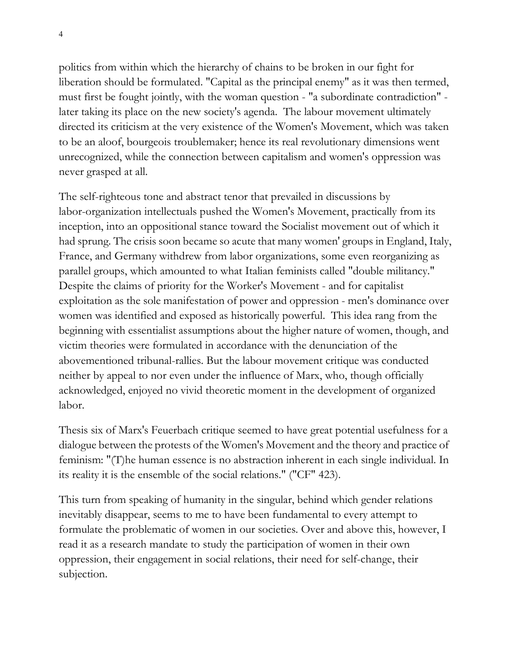politics from within which the hierarchy of chains to be broken in our fight for liberation should be formulated. "Capital as the principal enemy" as it was then termed, must first be fought jointly, with the woman question - "a subordinate contradiction" later taking its place on the new society's agenda. The labour movement ultimately directed its criticism at the very existence of the Women's Movement, which was taken to be an aloof, bourgeois troublemaker; hence its real revolutionary dimensions went unrecognized, while the connection between capitalism and women's oppression was never grasped at all.

The self-righteous tone and abstract tenor that prevailed in discussions by labor-organization intellectuals pushed the Women's Movement, practically from its inception, into an oppositional stance toward the Socialist movement out of which it had sprung. The crisis soon became so acute that many women' groups in England, Italy, France, and Germany withdrew from labor organizations, some even reorganizing as parallel groups, which amounted to what Italian feminists called "double militancy." Despite the claims of priority for the Worker's Movement - and for capitalist exploitation as the sole manifestation of power and oppression - men's dominance over women was identified and exposed as historically powerful. This idea rang from the beginning with essentialist assumptions about the higher nature of women, though, and victim theories were formulated in accordance with the denunciation of the abovementioned tribunal-rallies. But the labour movement critique was conducted neither by appeal to nor even under the influence of Marx, who, though officially acknowledged, enjoyed no vivid theoretic moment in the development of organized labor.

Thesis six of Marx's Feuerbach critique seemed to have great potential usefulness for a dialogue between the protests of the Women's Movement and the theory and practice of feminism: "(T)he human essence is no abstraction inherent in each single individual. In its reality it is the ensemble of the social relations." ("CF" 423).

This turn from speaking of humanity in the singular, behind which gender relations inevitably disappear, seems to me to have been fundamental to every attempt to formulate the problematic of women in our societies. Over and above this, however, I read it as a research mandate to study the participation of women in their own oppression, their engagement in social relations, their need for self-change, their subjection.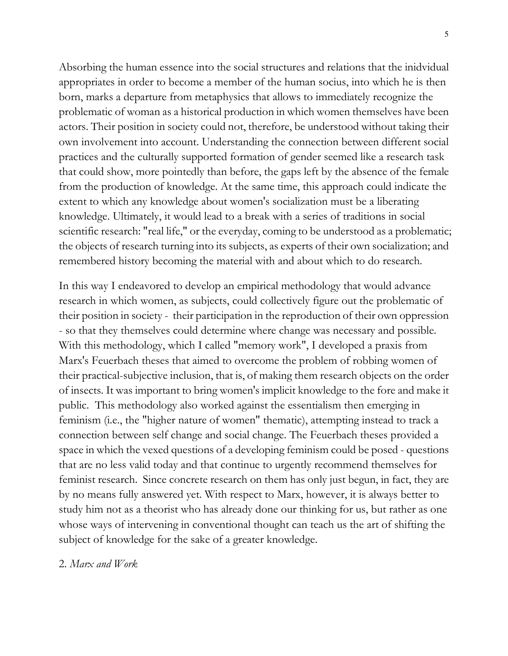Absorbing the human essence into the social structures and relations that the inidvidual appropriates in order to become a member of the human socius, into which he is then born, marks a departure from metaphysics that allows to immediately recognize the problematic of woman as a historical production in which women themselves have been actors. Their position in society could not, therefore, be understood without taking their own involvement into account. Understanding the connection between different social practices and the culturally supported formation of gender seemed like a research task that could show, more pointedly than before, the gaps left by the absence of the female from the production of knowledge. At the same time, this approach could indicate the extent to which any knowledge about women's socialization must be a liberating knowledge. Ultimately, it would lead to a break with a series of traditions in social scientific research: "real life," or the everyday, coming to be understood as a problematic; the objects of research turning into its subjects, as experts of their own socialization; and remembered history becoming the material with and about which to do research.

In this way I endeavored to develop an empirical methodology that would advance research in which women, as subjects, could collectively figure out the problematic of their position in society - their participation in the reproduction of their own oppression - so that they themselves could determine where change was necessary and possible. With this methodology, which I called "memory work", I developed a praxis from Marx's Feuerbach theses that aimed to overcome the problem of robbing women of their practical-subjective inclusion, that is, of making them research objects on the order of insects. It was important to bring women's implicit knowledge to the fore and make it public. This methodology also worked against the essentialism then emerging in feminism (i.e., the "higher nature of women" thematic), attempting instead to track a connection between self change and social change. The Feuerbach theses provided a space in which the vexed questions of a developing feminism could be posed - questions that are no less valid today and that continue to urgently recommend themselves for feminist research. Since concrete research on them has only just begun, in fact, they are by no means fully answered yet. With respect to Marx, however, it is always better to study him not as a theorist who has already done our thinking for us, but rather as one whose ways of intervening in conventional thought can teach us the art of shifting the subject of knowledge for the sake of a greater knowledge.

# 2. Marx and Work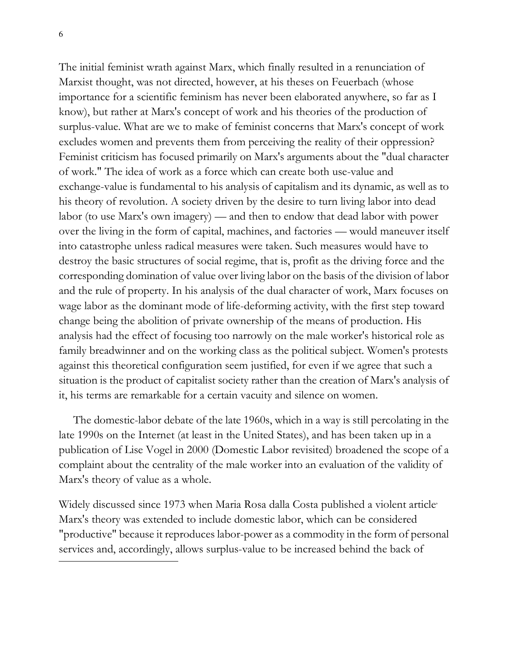The initial feminist wrath against Marx, which finally resulted in a renunciation of Marxist thought, was not directed, however, at his theses on Feuerbach (whose importance for a scientific feminism has never been elaborated anywhere, so far as I know), but rather at Marx's concept of work and his theories of the production of surplus-value. What are we to make of feminist concerns that Marx's concept of work excludes women and prevents them from perceiving the reality of their oppression? Feminist criticism has focused primarily on Marx's arguments about the "dual character of work." The idea of work as a force which can create both use-value and exchange-value is fundamental to his analysis of capitalism and its dynamic, as well as to his theory of revolution. A society driven by the desire to turn living labor into dead labor (to use Marx's own imagery) — and then to endow that dead labor with power over the living in the form of capital, machines, and factories — would maneuver itself into catastrophe unless radical measures were taken. Such measures would have to destroy the basic structures of social regime, that is, profit as the driving force and the corresponding domination of value over living labor on the basis of the division of labor and the rule of property. In his analysis of the dual character of work, Marx focuses on wage labor as the dominant mode of life-deforming activity, with the first step toward change being the abolition of private ownership of the means of production. His analysis had the effect of focusing too narrowly on the male worker's historical role as family breadwinner and on the working class as the political subject. Women's protests against this theoretical configuration seem justified, for even if we agree that such a situation is the product of capitalist society rather than the creation of Marx's analysis of it, his terms are remarkable for a certain vacuity and silence on women.

 The domestic-labor debate of the late 1960s, which in a way is still percolating in the late 1990s on the Internet (at least in the United States), and has been taken up in a publication of Lise Vogel in 2000 (Domestic Labor revisited) broadened the scope of a complaint about the centrality of the male worker into an evaluation of the validity of Marx's theory of value as a whole.

Widely discussed since 1973 when Maria Rosa dalla Costa published a violent article, Marx's theory was extended to include domestic labor, which can be considered "productive" because it reproduces labor-power as a commodity in the form of personal services and, accordingly, allows surplus-value to be increased behind the back of ֦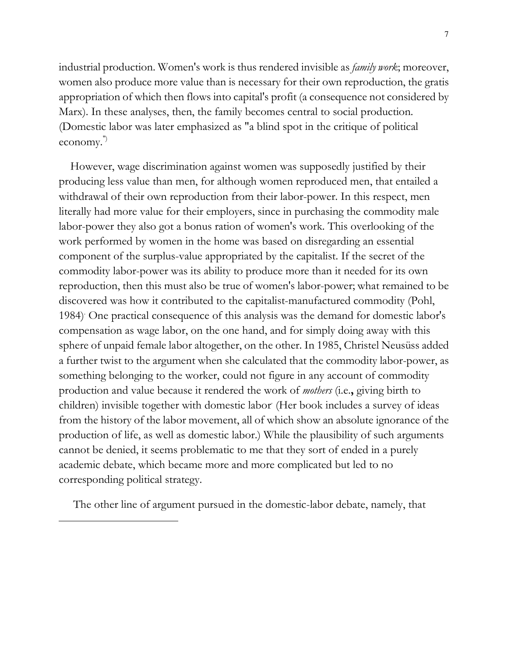industrial production. Women's work is thus rendered invisible as *family work*; moreover, women also produce more value than is necessary for their own reproduction, the gratis appropriation of which then flows into capital's profit (a consequence not considered by Marx). In these analyses, then, the family becomes central to social production. (Domestic labor was later emphasized as "a blind spot in the critique of political economy.")

 However, wage discrimination against women was supposedly justified by their producing less value than men, for although women reproduced men, that entailed a withdrawal of their own reproduction from their labor-power. In this respect, men literally had more value for their employers, since in purchasing the commodity male labor-power they also got a bonus ration of women's work. This overlooking of the work performed by women in the home was based on disregarding an essential component of the surplus-value appropriated by the capitalist. If the secret of the commodity labor-power was its ability to produce more than it needed for its own reproduction, then this must also be true of women's labor-power; what remained to be discovered was how it contributed to the capitalist-manufactured commodity (Pohl, 1984)<sup>.</sup> One practical consequence of this analysis was the demand for domestic labor's compensation as wage labor, on the one hand, and for simply doing away with this sphere of unpaid female labor altogether, on the other. In 1985, Christel Neusüss added a further twist to the argument when she calculated that the commodity labor-power, as something belonging to the worker, could not figure in any account of commodity production and value because it rendered the work of mothers (i.e., giving birth to children) invisible together with domestic labor. (Her book includes a survey of ideas from the history of the labor movement, all of which show an absolute ignorance of the production of life, as well as domestic labor.) While the plausibility of such arguments cannot be denied, it seems problematic to me that they sort of ended in a purely academic debate, which became more and more complicated but led to no corresponding political strategy.

The other line of argument pursued in the domestic-labor debate, namely, that

L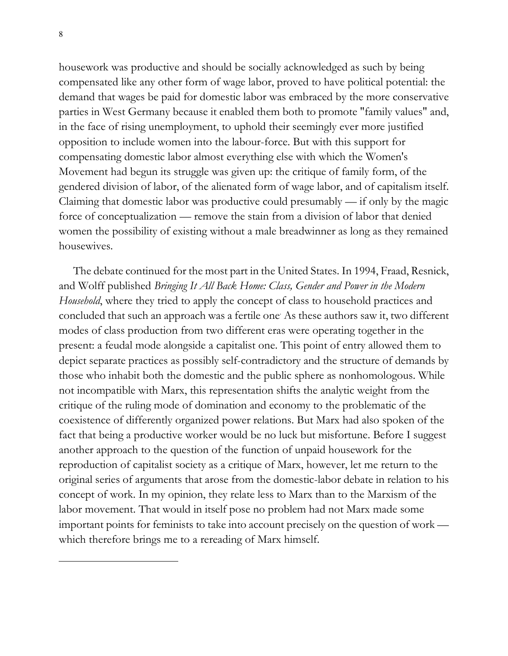housework was productive and should be socially acknowledged as such by being compensated like any other form of wage labor, proved to have political potential: the demand that wages be paid for domestic labor was embraced by the more conservative parties in West Germany because it enabled them both to promote "family values" and, in the face of rising unemployment, to uphold their seemingly ever more justified opposition to include women into the labour-force. But with this support for compensating domestic labor almost everything else with which the Women's Movement had begun its struggle was given up: the critique of family form, of the gendered division of labor, of the alienated form of wage labor, and of capitalism itself. Claiming that domestic labor was productive could presumably — if only by the magic force of conceptualization — remove the stain from a division of labor that denied women the possibility of existing without a male breadwinner as long as they remained housewives.

 The debate continued for the most part in the United States. In 1994, Fraad, Resnick, and Wolff published Bringing It All Back Home: Class, Gender and Power in the Modern Household, where they tried to apply the concept of class to household practices and concluded that such an approach was a fertile one As these authors saw it, two different modes of class production from two different eras were operating together in the present: a feudal mode alongside a capitalist one. This point of entry allowed them to depict separate practices as possibly self-contradictory and the structure of demands by those who inhabit both the domestic and the public sphere as nonhomologous. While not incompatible with Marx, this representation shifts the analytic weight from the critique of the ruling mode of domination and economy to the problematic of the coexistence of differently organized power relations. But Marx had also spoken of the fact that being a productive worker would be no luck but misfortune. Before I suggest another approach to the question of the function of unpaid housework for the reproduction of capitalist society as a critique of Marx, however, let me return to the original series of arguments that arose from the domestic-labor debate in relation to his concept of work. In my opinion, they relate less to Marx than to the Marxism of the labor movement. That would in itself pose no problem had not Marx made some important points for feminists to take into account precisely on the question of work which therefore brings me to a rereading of Marx himself.

֦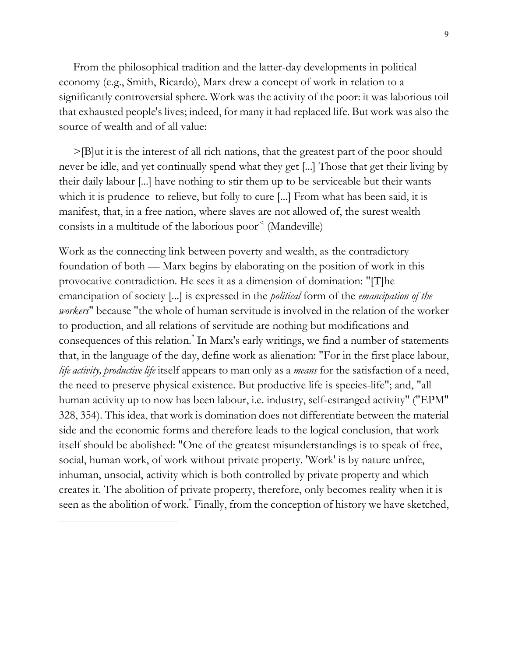From the philosophical tradition and the latter-day developments in political economy (e.g., Smith, Ricardo), Marx drew a concept of work in relation to a significantly controversial sphere. Work was the activity of the poor: it was laborious toil that exhausted people's lives; indeed, for many it had replaced life. But work was also the source of wealth and of all value:

 >[B]ut it is the interest of all rich nations, that the greatest part of the poor should never be idle, and yet continually spend what they get [...] Those that get their living by their daily labour [...] have nothing to stir them up to be serviceable but their wants which it is prudence to relieve, but folly to cure [...] From what has been said, it is manifest, that, in a free nation, where slaves are not allowed of, the surest wealth consists in a multitude of the laborious poor<sup>.</sup> (Mandeville)

Work as the connecting link between poverty and wealth, as the contradictory foundation of both — Marx begins by elaborating on the position of work in this provocative contradiction. He sees it as a dimension of domination: "[T]he emancipation of society [...] is expressed in the *political* form of the *emancipation of the* workers" because "the whole of human servitude is involved in the relation of the worker to production, and all relations of servitude are nothing but modifications and consequences of this relation." In Marx's early writings, we find a number of statements that, in the language of the day, define work as alienation: "For in the first place labour, life activity, productive life itself appears to man only as a *means* for the satisfaction of a need, the need to preserve physical existence. But productive life is species-life"; and, "all human activity up to now has been labour, i.e. industry, self-estranged activity" ("EPM" 328, 354). This idea, that work is domination does not differentiate between the material side and the economic forms and therefore leads to the logical conclusion, that work itself should be abolished: "One of the greatest misunderstandings is to speak of free, social, human work, of work without private property. 'Work' is by nature unfree, inhuman, unsocial, activity which is both controlled by private property and which creates it. The abolition of private property, therefore, only becomes reality when it is seen as the abolition of work." Finally, from the conception of history we have sketched,

L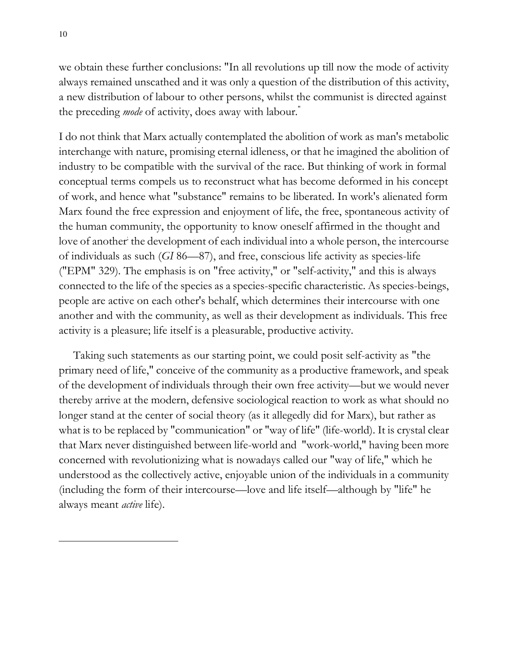we obtain these further conclusions: "In all revolutions up till now the mode of activity always remained unscathed and it was only a question of the distribution of this activity, a new distribution of labour to other persons, whilst the communist is directed against the preceding *mode* of activity, does away with labour."

I do not think that Marx actually contemplated the abolition of work as man's metabolic interchange with nature, promising eternal idleness, or that he imagined the abolition of industry to be compatible with the survival of the race. But thinking of work in formal conceptual terms compels us to reconstruct what has become deformed in his concept of work, and hence what "substance" remains to be liberated. In work's alienated form Marx found the free expression and enjoyment of life, the free, spontaneous activity of the human community, the opportunity to know oneself affirmed in the thought and love of another the development of each individual into a whole person, the intercourse of individuals as such  $(GI\,86—87)$ , and free, conscious life activity as species-life ("EPM" 329). The emphasis is on "free activity," or "self-activity," and this is always connected to the life of the species as a species-specific characteristic. As species-beings, people are active on each other's behalf, which determines their intercourse with one another and with the community, as well as their development as individuals. This free activity is a pleasure; life itself is a pleasurable, productive activity.

 Taking such statements as our starting point, we could posit self-activity as "the primary need of life," conceive of the community as a productive framework, and speak of the development of individuals through their own free activity—but we would never thereby arrive at the modern, defensive sociological reaction to work as what should no longer stand at the center of social theory (as it allegedly did for Marx), but rather as what is to be replaced by "communication" or "way of life" (life-world). It is crystal clear that Marx never distinguished between life-world and "work-world," having been more concerned with revolutionizing what is nowadays called our "way of life," which he understood as the collectively active, enjoyable union of the individuals in a community (including the form of their intercourse—love and life itself—although by "life" he always meant *active* life).

L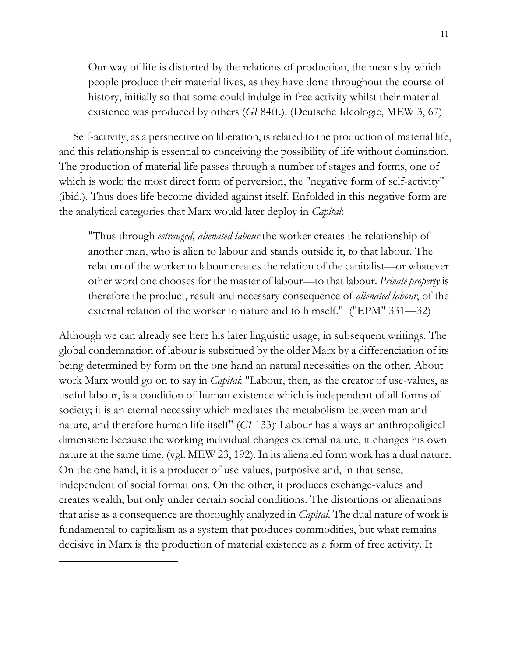Our way of life is distorted by the relations of production, the means by which people produce their material lives, as they have done throughout the course of history, initially so that some could indulge in free activity whilst their material existence was produced by others (GI 84ff.). (Deutsche Ideologie, MEW 3, 67)

 Self-activity, as a perspective on liberation, is related to the production of material life, and this relationship is essential to conceiving the possibility of life without domination. The production of material life passes through a number of stages and forms, one of which is work: the most direct form of perversion, the "negative form of self-activity" (ibid.). Thus does life become divided against itself. Enfolded in this negative form are the analytical categories that Marx would later deploy in *Capital*:

"Thus through estranged, alienated labour the worker creates the relationship of another man, who is alien to labour and stands outside it, to that labour. The relation of the worker to labour creates the relation of the capitalist—or whatever other word one chooses for the master of labour—to that labour. Private property is therefore the product, result and necessary consequence of *alienated labour*, of the external relation of the worker to nature and to himself." ("EPM" 331—32)

Although we can already see here his later linguistic usage, in subsequent writings. The global condemnation of labour is substitued by the older Marx by a differenciation of its being determined by form on the one hand an natural necessities on the other. About work Marx would go on to say in *Capital*: "Labour, then, as the creator of use-values, as useful labour, is a condition of human existence which is independent of all forms of society; it is an eternal necessity which mediates the metabolism between man and nature, and therefore human life itself" (C1 133) Labour has always an anthropoligical dimension: because the working individual changes external nature, it changes his own nature at the same time. (vgl. MEW 23, 192). In its alienated form work has a dual nature. On the one hand, it is a producer of use-values, purposive and, in that sense, independent of social formations. On the other, it produces exchange-values and creates wealth, but only under certain social conditions. The distortions or alienations that arise as a consequence are thoroughly analyzed in *Capital*. The dual nature of work is fundamental to capitalism as a system that produces commodities, but what remains decisive in Marx is the production of material existence as a form of free activity. It

֦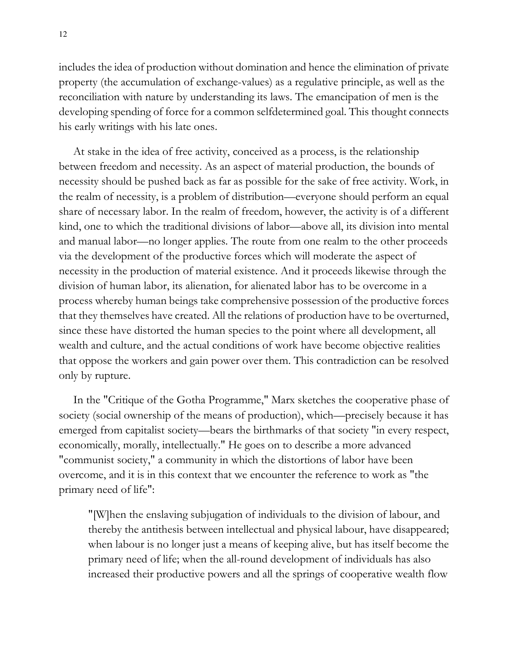includes the idea of production without domination and hence the elimination of private property (the accumulation of exchange-values) as a regulative principle, as well as the reconciliation with nature by understanding its laws. The emancipation of men is the developing spending of force for a common selfdetermined goal. This thought connects his early writings with his late ones.

 At stake in the idea of free activity, conceived as a process, is the relationship between freedom and necessity. As an aspect of material production, the bounds of necessity should be pushed back as far as possible for the sake of free activity. Work, in the realm of necessity, is a problem of distribution—everyone should perform an equal share of necessary labor. In the realm of freedom, however, the activity is of a different kind, one to which the traditional divisions of labor—above all, its division into mental and manual labor—no longer applies. The route from one realm to the other proceeds via the development of the productive forces which will moderate the aspect of necessity in the production of material existence. And it proceeds likewise through the division of human labor, its alienation, for alienated labor has to be overcome in a process whereby human beings take comprehensive possession of the productive forces that they themselves have created. All the relations of production have to be overturned, since these have distorted the human species to the point where all development, all wealth and culture, and the actual conditions of work have become objective realities that oppose the workers and gain power over them. This contradiction can be resolved only by rupture.

 In the "Critique of the Gotha Programme," Marx sketches the cooperative phase of society (social ownership of the means of production), which—precisely because it has emerged from capitalist society—bears the birthmarks of that society "in every respect, economically, morally, intellectually." He goes on to describe a more advanced "communist society," a community in which the distortions of labor have been overcome, and it is in this context that we encounter the reference to work as "the primary need of life":

"[W]hen the enslaving subjugation of individuals to the division of labour, and thereby the antithesis between intellectual and physical labour, have disappeared; when labour is no longer just a means of keeping alive, but has itself become the primary need of life; when the all-round development of individuals has also increased their productive powers and all the springs of cooperative wealth flow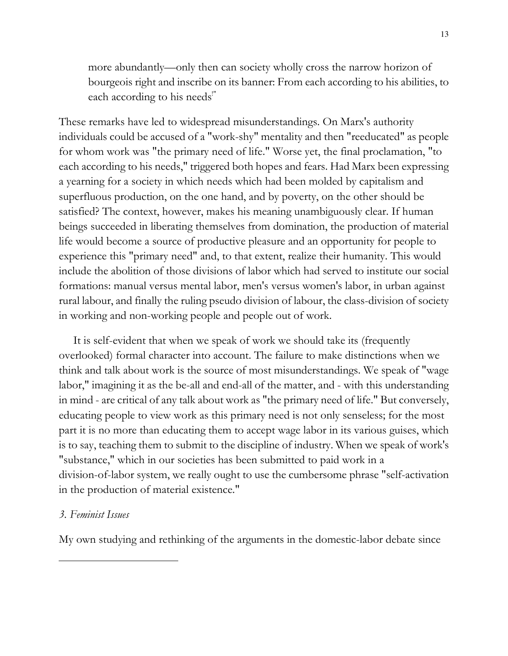more abundantly—only then can society wholly cross the narrow horizon of bourgeois right and inscribe on its banner: From each according to his abilities, to each according to his needs<sup>"</sup>

These remarks have led to widespread misunderstandings. On Marx's authority individuals could be accused of a "work-shy" mentality and then "reeducated" as people for whom work was "the primary need of life." Worse yet, the final proclamation, "to each according to his needs," triggered both hopes and fears. Had Marx been expressing a yearning for a society in which needs which had been molded by capitalism and superfluous production, on the one hand, and by poverty, on the other should be satisfied? The context, however, makes his meaning unambiguously clear. If human beings succeeded in liberating themselves from domination, the production of material life would become a source of productive pleasure and an opportunity for people to experience this "primary need" and, to that extent, realize their humanity. This would include the abolition of those divisions of labor which had served to institute our social formations: manual versus mental labor, men's versus women's labor, in urban against rural labour, and finally the ruling pseudo division of labour, the class-division of society in working and non-working people and people out of work.

 It is self-evident that when we speak of work we should take its (frequently overlooked) formal character into account. The failure to make distinctions when we think and talk about work is the source of most misunderstandings. We speak of "wage labor," imagining it as the be-all and end-all of the matter, and - with this understanding in mind - are critical of any talk about work as "the primary need of life." But conversely, educating people to view work as this primary need is not only senseless; for the most part it is no more than educating them to accept wage labor in its various guises, which is to say, teaching them to submit to the discipline of industry. When we speak of work's "substance," which in our societies has been submitted to paid work in a division-of-labor system, we really ought to use the cumbersome phrase "self-activation in the production of material existence."

## 3. Feminist Issues

L

My own studying and rethinking of the arguments in the domestic-labor debate since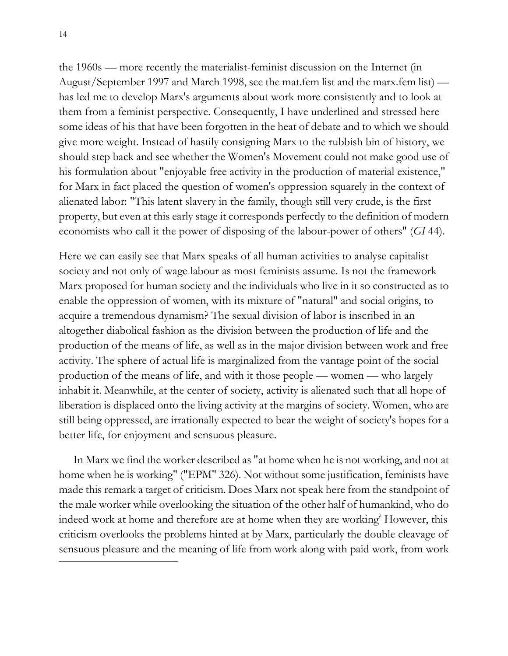the 1960s — more recently the materialist-feminist discussion on the Internet (in August/September 1997 and March 1998, see the mat.fem list and the marx.fem list) has led me to develop Marx's arguments about work more consistently and to look at them from a feminist perspective. Consequently, I have underlined and stressed here some ideas of his that have been forgotten in the heat of debate and to which we should give more weight. Instead of hastily consigning Marx to the rubbish bin of history, we should step back and see whether the Women's Movement could not make good use of his formulation about "enjoyable free activity in the production of material existence," for Marx in fact placed the question of women's oppression squarely in the context of alienated labor: "This latent slavery in the family, though still very crude, is the first property, but even at this early stage it corresponds perfectly to the definition of modern economists who call it the power of disposing of the labour-power of others" (GI 44).

Here we can easily see that Marx speaks of all human activities to analyse capitalist society and not only of wage labour as most feminists assume. Is not the framework Marx proposed for human society and the individuals who live in it so constructed as to enable the oppression of women, with its mixture of "natural" and social origins, to acquire a tremendous dynamism? The sexual division of labor is inscribed in an altogether diabolical fashion as the division between the production of life and the production of the means of life, as well as in the major division between work and free activity. The sphere of actual life is marginalized from the vantage point of the social production of the means of life, and with it those people — women — who largely inhabit it. Meanwhile, at the center of society, activity is alienated such that all hope of liberation is displaced onto the living activity at the margins of society. Women, who are still being oppressed, are irrationally expected to bear the weight of society's hopes for a better life, for enjoyment and sensuous pleasure.

 In Marx we find the worker described as "at home when he is not working, and not at home when he is working" ("EPM" 326). Not without some justification, feminists have made this remark a target of criticism. Does Marx not speak here from the standpoint of the male worker while overlooking the situation of the other half of humankind, who do indeed work at home and therefore are at home when they are working? However, this criticism overlooks the problems hinted at by Marx, particularly the double cleavage of sensuous pleasure and the meaning of life from work along with paid work, from work ֦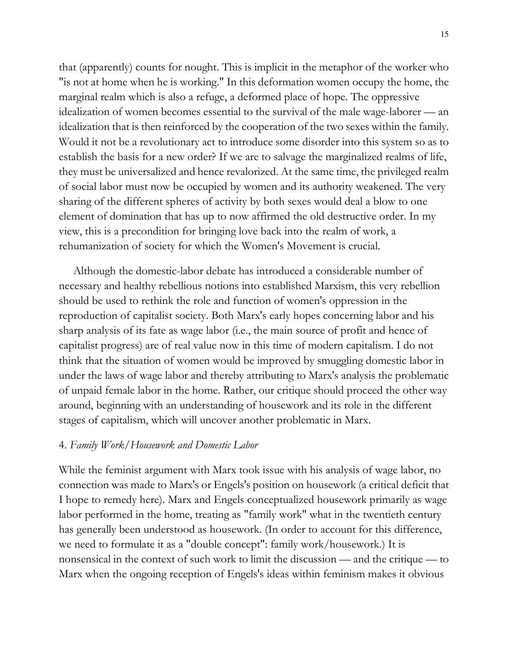that (apparently) counts for nought. This is implicit in the metaphor of the worker who "is not at home when he is working." In this deformation women occupy the home, the marginal realm which is also a refuge, a deformed place of hope. The oppressive idealization of women becomes essential to the survival of the male wage-laborer — an idealization that is then reinforced by the cooperation of the two sexes within the family. Would it not be a revolutionary act to introduce some disorder into this system so as to establish the basis for a new order? If we are to salvage the marginalized realms of life, they must be universalized and hence revalorized. At the same time, the privileged realm of social labor must now be occupied by women and its authority weakened. The very sharing of the different spheres of activity by both sexes would deal a blow to one element of domination that has up to now affirmed the old destructive order. In my view, this is a precondition for bringing love back into the realm of work, a rehumanization of society for which the Women's Movement is crucial.

 Although the domestic-labor debate has introduced a considerable number of necessary and healthy rebellious notions into established Marxism, this very rebellion should be used to rethink the role and function of women's oppression in the reproduction of capitalist society. Both Marx's early hopes concerning labor and his sharp analysis of its fate as wage labor (i.e., the main source of profit and hence of capitalist progress) are of real value now in this time of modern capitalism. I do not think that the situation of women would be improved by smuggling domestic labor in under the laws of wage labor and thereby attributing to Marx's analysis the problematic of unpaid female labor in the home. Rather, our critique should proceed the other way around, beginning with an understanding of housework and its role in the different stages of capitalism, which will uncover another problematic in Marx.

#### 4. Family Work/Housework and Domestic Labor

While the feminist argument with Marx took issue with his analysis of wage labor, no connection was made to Marx's or Engels's position on housework (a critical deficit that I hope to remedy here). Marx and Engels conceptualized housework primarily as wage labor performed in the home, treating as "family work" what in the twentieth century has generally been understood as housework. (In order to account for this difference, we need to formulate it as a "double concept": family work/housework.) It is nonsensical in the context of such work to limit the discussion — and the critique — to Marx when the ongoing reception of Engels's ideas within feminism makes it obvious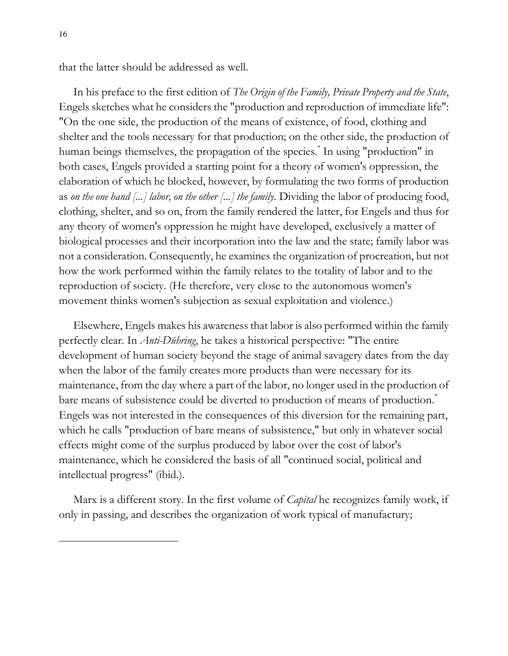that the latter should be addressed as well.

In his preface to the first edition of *The Origin of the Family*, *Private Property and the State*, Engels sketches what he considers the "production and reproduction of immediate life": "On the one side, the production of the means of existence, of food, clothing and shelter and the tools necessary for that production; on the other side, the production of human beings themselves, the propagation of the species." In using "production" in both cases, Engels provided a starting point for a theory of women's oppression, the elaboration of which he blocked, however, by formulating the two forms of production as on the one hand [...] labor, on the other [...] the family. Dividing the labor of producing food, clothing, shelter, and so on, from the family rendered the latter, for Engels and thus for any theory of women's oppression he might have developed, exclusively a matter of biological processes and their incorporation into the law and the state; family labor was not a consideration. Consequently, he examines the organization of procreation, but not how the work performed within the family relates to the totality of labor and to the reproduction of society. (He therefore, very close to the autonomous women's movement thinks women's subjection as sexual exploitation and violence.)

 Elsewhere, Engels makes his awareness that labor is also performed within the family perfectly clear. In Anti-Dühring, he takes a historical perspective: "The entire development of human society beyond the stage of animal savagery dates from the day when the labor of the family creates more products than were necessary for its maintenance, from the day where a part of the labor, no longer used in the production of bare means of subsistence could be diverted to production of means of production." Engels was not interested in the consequences of this diversion for the remaining part, which he calls "production of bare means of subsistence," but only in whatever social effects might come of the surplus produced by labor over the cost of labor's maintenance, which he considered the basis of all "continued social, political and intellectual progress" (ibid.).

Marx is a different story. In the first volume of *Capital* he recognizes family work, if only in passing, and describes the organization of work typical of manufactury;

L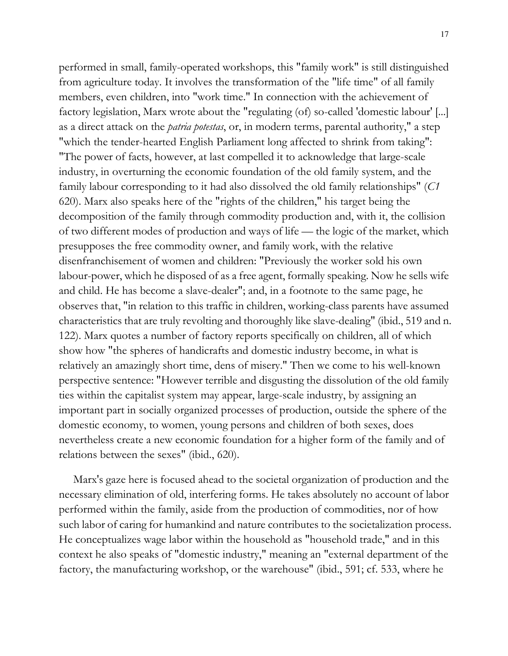performed in small, family-operated workshops, this "family work" is still distinguished from agriculture today. It involves the transformation of the "life time" of all family members, even children, into "work time." In connection with the achievement of factory legislation, Marx wrote about the "regulating (of) so-called 'domestic labour' [...] as a direct attack on the *patria potestas*, or, in modern terms, parental authority," a step "which the tender-hearted English Parliament long affected to shrink from taking": "The power of facts, however, at last compelled it to acknowledge that large-scale industry, in overturning the economic foundation of the old family system, and the family labour corresponding to it had also dissolved the old family relationships" (C1 620). Marx also speaks here of the "rights of the children," his target being the decomposition of the family through commodity production and, with it, the collision of two different modes of production and ways of life — the logic of the market, which presupposes the free commodity owner, and family work, with the relative disenfranchisement of women and children: "Previously the worker sold his own labour-power, which he disposed of as a free agent, formally speaking. Now he sells wife and child. He has become a slave-dealer"; and, in a footnote to the same page, he observes that, "in relation to this traffic in children, working-class parents have assumed characteristics that are truly revolting and thoroughly like slave-dealing" (ibid., 519 and n. 122). Marx quotes a number of factory reports specifically on children, all of which show how "the spheres of handicrafts and domestic industry become, in what is relatively an amazingly short time, dens of misery." Then we come to his well-known perspective sentence: "However terrible and disgusting the dissolution of the old family ties within the capitalist system may appear, large-scale industry, by assigning an important part in socially organized processes of production, outside the sphere of the domestic economy, to women, young persons and children of both sexes, does nevertheless create a new economic foundation for a higher form of the family and of relations between the sexes" (ibid., 620).

 Marx's gaze here is focused ahead to the societal organization of production and the necessary elimination of old, interfering forms. He takes absolutely no account of labor performed within the family, aside from the production of commodities, nor of how such labor of caring for humankind and nature contributes to the societalization process. He conceptualizes wage labor within the household as "household trade," and in this context he also speaks of "domestic industry," meaning an "external department of the factory, the manufacturing workshop, or the warehouse" (ibid., 591; cf. 533, where he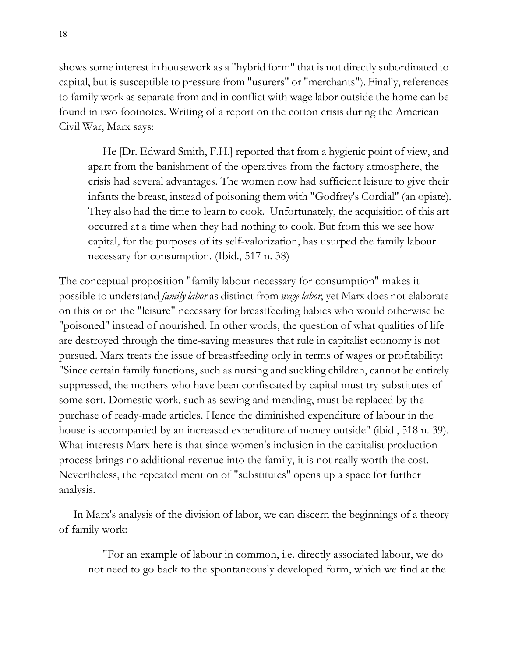shows some interest in housework as a "hybrid form" that is not directly subordinated to capital, but is susceptible to pressure from "usurers" or "merchants"). Finally, references to family work as separate from and in conflict with wage labor outside the home can be found in two footnotes. Writing of a report on the cotton crisis during the American Civil War, Marx says:

 He [Dr. Edward Smith, F.H.] reported that from a hygienic point of view, and apart from the banishment of the operatives from the factory atmosphere, the crisis had several advantages. The women now had sufficient leisure to give their infants the breast, instead of poisoning them with "Godfrey's Cordial" (an opiate). They also had the time to learn to cook. Unfortunately, the acquisition of this art occurred at a time when they had nothing to cook. But from this we see how capital, for the purposes of its self-valorization, has usurped the family labour necessary for consumption. (Ibid., 517 n. 38)

The conceptual proposition "family labour necessary for consumption" makes it possible to understand family labor as distinct from wage labor, yet Marx does not elaborate on this or on the "leisure" necessary for breastfeeding babies who would otherwise be "poisoned" instead of nourished. In other words, the question of what qualities of life are destroyed through the time-saving measures that rule in capitalist economy is not pursued. Marx treats the issue of breastfeeding only in terms of wages or profitability: "Since certain family functions, such as nursing and suckling children, cannot be entirely suppressed, the mothers who have been confiscated by capital must try substitutes of some sort. Domestic work, such as sewing and mending, must be replaced by the purchase of ready-made articles. Hence the diminished expenditure of labour in the house is accompanied by an increased expenditure of money outside" (ibid., 518 n. 39). What interests Marx here is that since women's inclusion in the capitalist production process brings no additional revenue into the family, it is not really worth the cost. Nevertheless, the repeated mention of "substitutes" opens up a space for further analysis.

 In Marx's analysis of the division of labor, we can discern the beginnings of a theory of family work:

 "For an example of labour in common, i.e. directly associated labour, we do not need to go back to the spontaneously developed form, which we find at the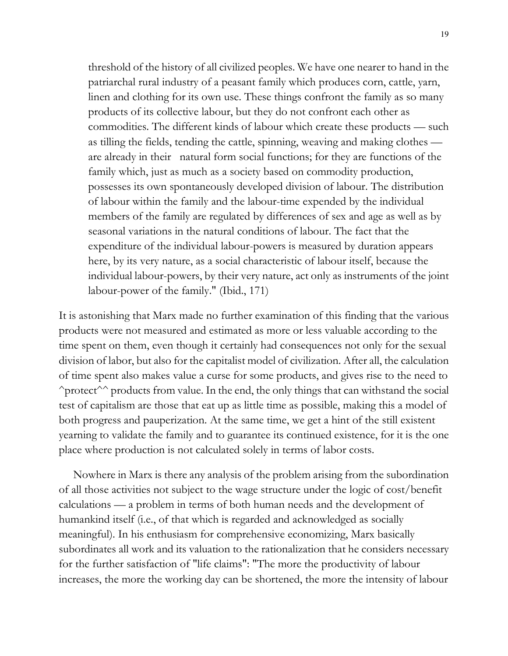threshold of the history of all civilized peoples. We have one nearer to hand in the patriarchal rural industry of a peasant family which produces corn, cattle, yarn, linen and clothing for its own use. These things confront the family as so many products of its collective labour, but they do not confront each other as commodities. The different kinds of labour which create these products — such as tilling the fields, tending the cattle, spinning, weaving and making clothes are already in their natural form social functions; for they are functions of the family which, just as much as a society based on commodity production, possesses its own spontaneously developed division of labour. The distribution of labour within the family and the labour-time expended by the individual members of the family are regulated by differences of sex and age as well as by seasonal variations in the natural conditions of labour. The fact that the expenditure of the individual labour-powers is measured by duration appears here, by its very nature, as a social characteristic of labour itself, because the individual labour-powers, by their very nature, act only as instruments of the joint labour-power of the family." (Ibid., 171)

It is astonishing that Marx made no further examination of this finding that the various products were not measured and estimated as more or less valuable according to the time spent on them, even though it certainly had consequences not only for the sexual division of labor, but also for the capitalist model of civilization. After all, the calculation of time spent also makes value a curse for some products, and gives rise to the need to  $\gamma$ protect $\gamma$  products from value. In the end, the only things that can withstand the social test of capitalism are those that eat up as little time as possible, making this a model of both progress and pauperization. At the same time, we get a hint of the still existent yearning to validate the family and to guarantee its continued existence, for it is the one place where production is not calculated solely in terms of labor costs.

 Nowhere in Marx is there any analysis of the problem arising from the subordination of all those activities not subject to the wage structure under the logic of cost/benefit calculations — a problem in terms of both human needs and the development of humankind itself (i.e., of that which is regarded and acknowledged as socially meaningful). In his enthusiasm for comprehensive economizing, Marx basically subordinates all work and its valuation to the rationalization that he considers necessary for the further satisfaction of "life claims": "The more the productivity of labour increases, the more the working day can be shortened, the more the intensity of labour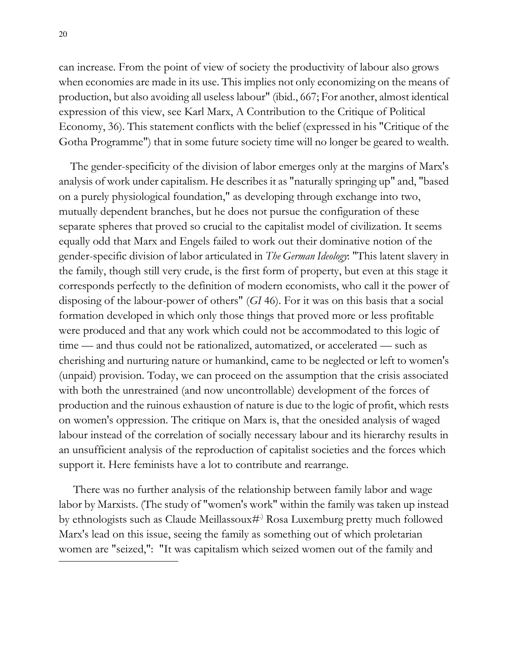can increase. From the point of view of society the productivity of labour also grows when economies are made in its use. This implies not only economizing on the means of production, but also avoiding all useless labour" (ibid., 667; For another, almost identical expression of this view, see Karl Marx, A Contribution to the Critique of Political Economy, 36). This statement conflicts with the belief (expressed in his "Critique of the Gotha Programme") that in some future society time will no longer be geared to wealth.

 The gender-specificity of the division of labor emerges only at the margins of Marx's analysis of work under capitalism. He describes it as "naturally springing up" and, "based on a purely physiological foundation," as developing through exchange into two, mutually dependent branches, but he does not pursue the configuration of these separate spheres that proved so crucial to the capitalist model of civilization. It seems equally odd that Marx and Engels failed to work out their dominative notion of the gender-specific division of labor articulated in The German Ideology: "This latent slavery in the family, though still very crude, is the first form of property, but even at this stage it corresponds perfectly to the definition of modern economists, who call it the power of disposing of the labour-power of others" (GI 46). For it was on this basis that a social formation developed in which only those things that proved more or less profitable were produced and that any work which could not be accommodated to this logic of time — and thus could not be rationalized, automatized, or accelerated — such as cherishing and nurturing nature or humankind, came to be neglected or left to women's (unpaid) provision. Today, we can proceed on the assumption that the crisis associated with both the unrestrained (and now uncontrollable) development of the forces of production and the ruinous exhaustion of nature is due to the logic of profit, which rests on women's oppression. The critique on Marx is, that the onesided analysis of waged labour instead of the correlation of socially necessary labour and its hierarchy results in an unsufficient analysis of the reproduction of capitalist societies and the forces which support it. Here feminists have a lot to contribute and rearrange.

 There was no further analysis of the relationship between family labor and wage labor by Marxists. (The study of "women's work" within the family was taken up instead by ethnologists such as Claude Meillassoux $\#$ <sup>)</sup> Rosa Luxemburg pretty much followed Marx's lead on this issue, seeing the family as something out of which proletarian women are "seized,": "It was capitalism which seized women out of the family and

֦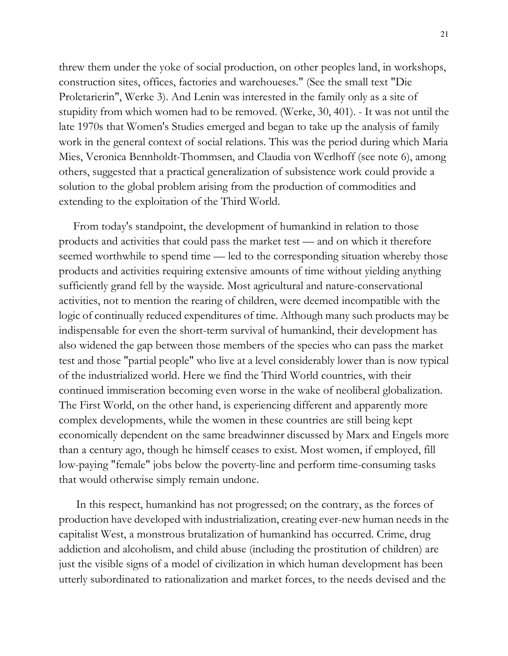threw them under the yoke of social production, on other peoples land, in workshops, construction sites, offices, factories and warehoueses." (See the small text "Die Proletarierin", Werke 3). And Lenin was interested in the family only as a site of stupidity from which women had to be removed. (Werke, 30, 401). - It was not until the late 1970s that Women's Studies emerged and began to take up the analysis of family work in the general context of social relations. This was the period during which Maria Mies, Veronica Bennholdt-Thommsen, and Claudia von Werlhoff (see note 6), among others, suggested that a practical generalization of subsistence work could provide a solution to the global problem arising from the production of commodities and extending to the exploitation of the Third World.

 From today's standpoint, the development of humankind in relation to those products and activities that could pass the market test — and on which it therefore seemed worthwhile to spend time — led to the corresponding situation whereby those products and activities requiring extensive amounts of time without yielding anything sufficiently grand fell by the wayside. Most agricultural and nature-conservational activities, not to mention the rearing of children, were deemed incompatible with the logic of continually reduced expenditures of time. Although many such products may be indispensable for even the short-term survival of humankind, their development has also widened the gap between those members of the species who can pass the market test and those "partial people" who live at a level considerably lower than is now typical of the industrialized world. Here we find the Third World countries, with their continued immiseration becoming even worse in the wake of neoliberal globalization. The First World, on the other hand, is experiencing different and apparently more complex developments, while the women in these countries are still being kept economically dependent on the same breadwinner discussed by Marx and Engels more than a century ago, though he himself ceases to exist. Most women, if employed, fill low-paying "female" jobs below the poverty-line and perform time-consuming tasks that would otherwise simply remain undone.

 In this respect, humankind has not progressed; on the contrary, as the forces of production have developed with industrialization, creating ever-new human needs in the capitalist West, a monstrous brutalization of humankind has occurred. Crime, drug addiction and alcoholism, and child abuse (including the prostitution of children) are just the visible signs of a model of civilization in which human development has been utterly subordinated to rationalization and market forces, to the needs devised and the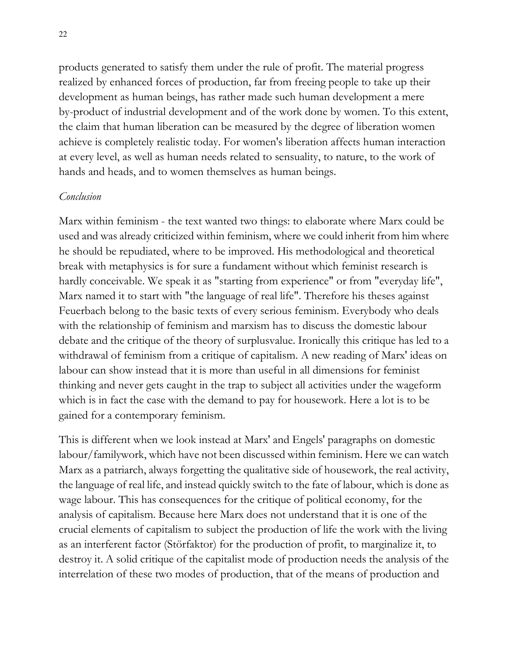products generated to satisfy them under the rule of profit. The material progress realized by enhanced forces of production, far from freeing people to take up their development as human beings, has rather made such human development a mere by-product of industrial development and of the work done by women. To this extent, the claim that human liberation can be measured by the degree of liberation women achieve is completely realistic today. For women's liberation affects human interaction at every level, as well as human needs related to sensuality, to nature, to the work of hands and heads, and to women themselves as human beings.

### Conclusion

Marx within feminism - the text wanted two things: to elaborate where Marx could be used and was already criticized within feminism, where we could inherit from him where he should be repudiated, where to be improved. His methodological and theoretical break with metaphysics is for sure a fundament without which feminist research is hardly conceivable. We speak it as "starting from experience" or from "everyday life", Marx named it to start with "the language of real life". Therefore his theses against Feuerbach belong to the basic texts of every serious feminism. Everybody who deals with the relationship of feminism and marxism has to discuss the domestic labour debate and the critique of the theory of surplusvalue. Ironically this critique has led to a withdrawal of feminism from a critique of capitalism. A new reading of Marx' ideas on labour can show instead that it is more than useful in all dimensions for feminist thinking and never gets caught in the trap to subject all activities under the wageform which is in fact the case with the demand to pay for housework. Here a lot is to be gained for a contemporary feminism.

This is different when we look instead at Marx' and Engels' paragraphs on domestic labour/familywork, which have not been discussed within feminism. Here we can watch Marx as a patriarch, always forgetting the qualitative side of housework, the real activity, the language of real life, and instead quickly switch to the fate of labour, which is done as wage labour. This has consequences for the critique of political economy, for the analysis of capitalism. Because here Marx does not understand that it is one of the crucial elements of capitalism to subject the production of life the work with the living as an interferent factor (Störfaktor) for the production of profit, to marginalize it, to destroy it. A solid critique of the capitalist mode of production needs the analysis of the interrelation of these two modes of production, that of the means of production and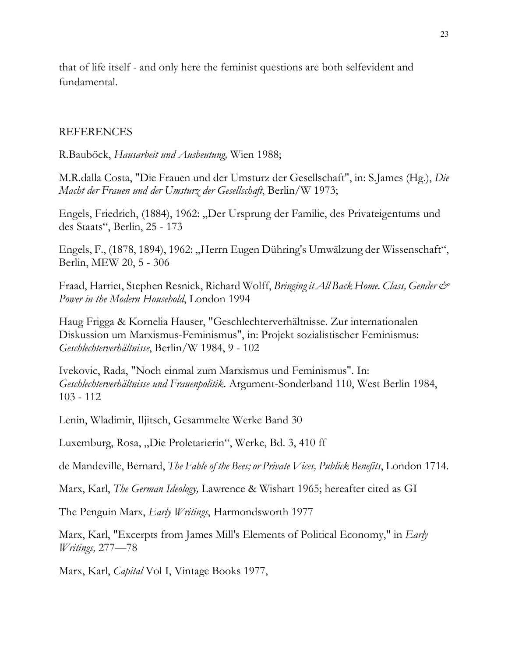that of life itself - and only here the feminist questions are both selfevident and fundamental.

#### REFERENCES

R.Bauböck, Hausarbeit und Ausbeutung, Wien 1988;

M.R.dalla Costa, "Die Frauen und der Umsturz der Gesellschaft", in: S.James (Hg.), Die Macht der Frauen und der Umsturz der Gesellschaft, Berlin/W 1973;

Engels, Friedrich, (1884), 1962: "Der Ursprung der Familie, des Privateigentums und des Staats", Berlin, 25 - 173

Engels, F., (1878, 1894), 1962: "Herrn Eugen Dühring's Umwälzung der Wissenschaft", Berlin, MEW 20, 5 - 306

Fraad, Harriet, Stephen Resnick, Richard Wolff, Bringing it All Back Home. Class, Gender & Power in the Modern Household, London 1994

Haug Frigga & Kornelia Hauser, "Geschlechterverhältnisse. Zur internationalen Diskussion um Marxismus-Feminismus", in: Projekt sozialistischer Feminismus: Geschlechterverhältnisse, Berlin/W 1984, 9 - 102

Ivekovic, Rada, "Noch einmal zum Marxismus und Feminismus". In: Geschlechterverhältnisse und Frauenpolitik. Argument-Sonderband 110, West Berlin 1984, 103 - 112

Lenin, Wladimir, Iljitsch, Gesammelte Werke Band 30

Luxemburg, Rosa, "Die Proletarierin", Werke, Bd. 3, 410 ff

de Mandeville, Bernard, *The Fable of the Bees; or Private Vices, Publick Benefits*, London 1714.

Marx, Karl, The German Ideology, Lawrence & Wishart 1965; hereafter cited as GI

The Penguin Marx, *Early Writings*, Harmondsworth 1977

Marx, Karl, "Excerpts from James Mill's Elements of Political Economy," in Early Writings, 277—78

Marx, Karl, *Capital* Vol I, Vintage Books 1977,